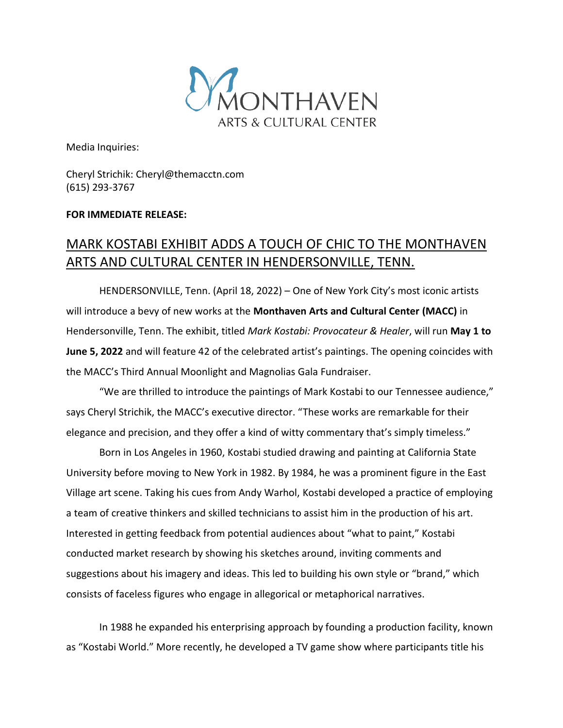

Media Inquiries:

Cheryl Strichik: Cheryl@themacctn.com (615) 293-3767

## **FOR IMMEDIATE RELEASE:**

## MARK KOSTABI EXHIBIT ADDS A TOUCH OF CHIC TO THE MONTHAVEN ARTS AND CULTURAL CENTER IN HENDERSONVILLE, TENN.

HENDERSONVILLE, Tenn. (April 18, 2022) – One of New York City's most iconic artists will introduce a bevy of new works at the **Monthaven Arts and Cultural Center (MACC)** in Hendersonville, Tenn. The exhibit, titled *Mark Kostabi: Provocateur & Healer*, will run **May 1 to June 5, 2022** and will feature 42 of the celebrated artist's paintings. The opening coincides with the MACC's Third Annual Moonlight and Magnolias Gala Fundraiser.

"We are thrilled to introduce the paintings of Mark Kostabi to our Tennessee audience," says Cheryl Strichik, the MACC's executive director. "These works are remarkable for their elegance and precision, and they offer a kind of witty commentary that's simply timeless."

Born in Los Angeles in 1960, Kostabi studied drawing and painting at California State University before moving to New York in 1982. By 1984, he was a prominent figure in the East Village art scene. Taking his cues from Andy Warhol, Kostabi developed a practice of employing a team of creative thinkers and skilled technicians to assist him in the production of his art. Interested in getting feedback from potential audiences about "what to paint," Kostabi conducted market research by showing his sketches around, inviting comments and suggestions about his imagery and ideas. This led to building his own style or "brand," which consists of faceless figures who engage in allegorical or metaphorical narratives.

In 1988 he expanded his enterprising approach by founding a production facility, known as "Kostabi World." More recently, he developed a TV game show where participants title his